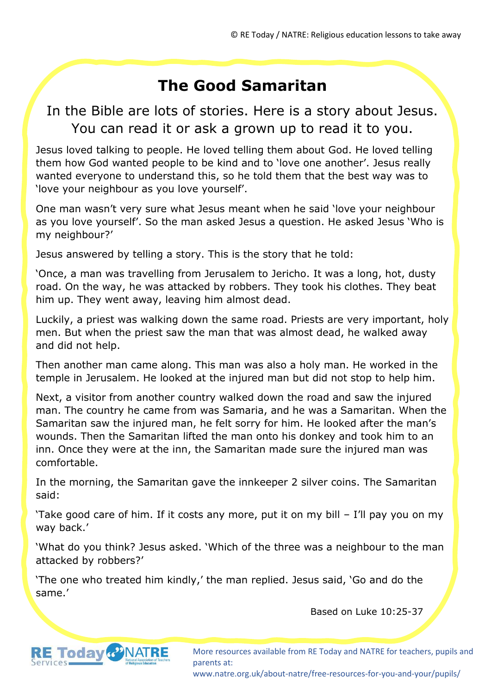### **The Good Samaritan**

#### In the Bible are lots of stories. Here is a story about Jesus. You can read it or ask a grown up to read it to you.

Jesus loved talking to people. He loved telling them about God. He loved telling them how God wanted people to be kind and to 'love one another'. Jesus really wanted everyone to understand this, so he told them that the best way was to 'love your neighbour as you love yourself'.

One man wasn't very sure what Jesus meant when he said 'love your neighbour as you love yourself'. So the man asked Jesus a question. He asked Jesus 'Who is my neighbour?'

Jesus answered by telling a story. This is the story that he told:

'Once, a man was travelling from Jerusalem to Jericho. It was a long, hot, dusty road. On the way, he was attacked by robbers. They took his clothes. They beat him up. They went away, leaving him almost dead.

Luckily, a priest was walking down the same road. Priests are very important, holy men. But when the priest saw the man that was almost dead, he walked away and did not help.

Then another man came along. This man was also a holy man. He worked in the temple in Jerusalem. He looked at the injured man but did not stop to help him.

Next, a visitor from another country walked down the road and saw the injured man. The country he came from was Samaria, and he was a Samaritan. When the Samaritan saw the injured man, he felt sorry for him. He looked after the man's wounds. Then the Samaritan lifted the man onto his donkey and took him to an inn. Once they were at the inn, the Samaritan made sure the injured man was comfortable.

In the morning, the Samaritan gave the innkeeper 2 silver coins. The Samaritan said:

'Take good care of him. If it costs any more, put it on my bill – I'll pay you on my way back.'

'What do you think? Jesus asked. 'Which of the three was a neighbour to the man attacked by robbers?'

'The one who treated him kindly,' the man replied. Jesus said, 'Go and do the same.'

Based on Luke 10:25-37



More resources available from RE Today and NATRE for teachers, pupils and parents at:

www.natre.org.uk/about-natre/free-resources-for-you-and-your/pupils/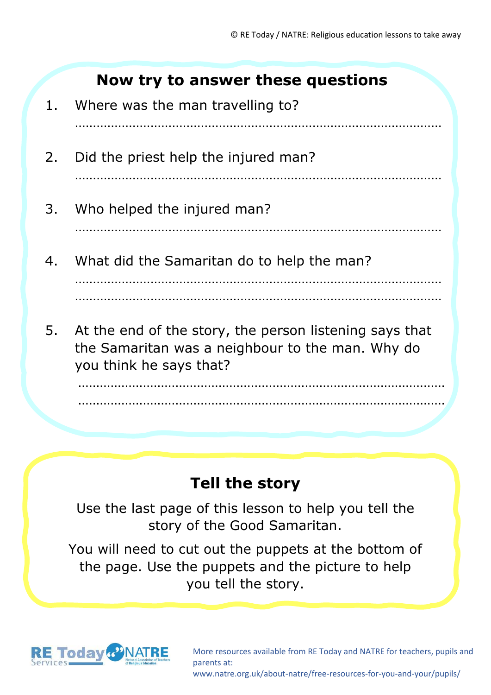#### **Now try to answer these questions**

1. Where was the man travelling to? ………………………………………………………………………………………… 2. Did the priest help the injured man? ………………………………………………………………………………………… 3. Who helped the injured man? ………………………………………………………………………………………… 4. What did the Samaritan do to help the man? ………………………………………………………………………………………… ………………………………………………………………………………………… 5. At the end of the story, the person listening says that the Samaritan was a neighbour to the man. Why do you think he says that?

#### ………………………………………………………………………………………… …………………………………………………………………………………………

# **Tell the story**

Use the last page of this lesson to help you tell the story of the Good Samaritan.

You will need to cut out the puppets at the bottom of the page. Use the puppets and the picture to help you tell the story.



More resources available from RE Today and NATRE for teachers, pupils and parents at:

www.natre.org.uk/about-natre/free-resources-for-you-and-your/pupils/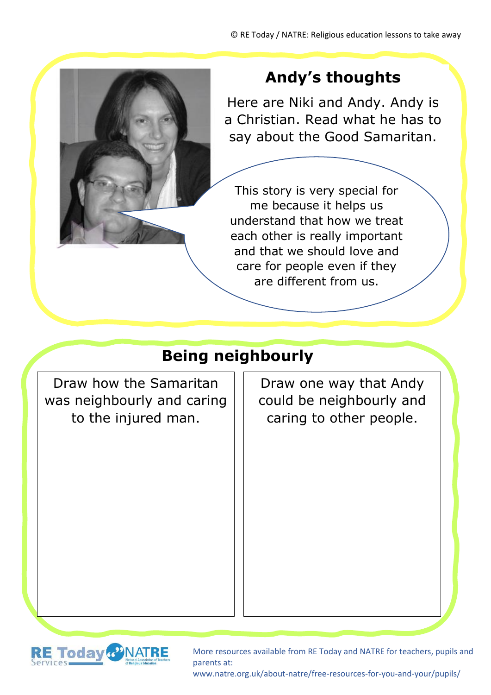

# **Andy's thoughts**

Here are Niki and Andy. Andy is a Christian. Read what he has to say about the Good Samaritan.

This story is very special for me because it helps us understand that how we treat each other is really important and that we should love and care for people even if they are different from us.

# **Being neighbourly**

Draw how the Samaritan was neighbourly and caring to the injured man.

Draw one way that Andy could be neighbourly and caring to other people.



More resources available from RE Today and NATRE for teachers, pupils and parents at:

www.natre.org.uk/about-natre/free-resources-for-you-and-your/pupils/